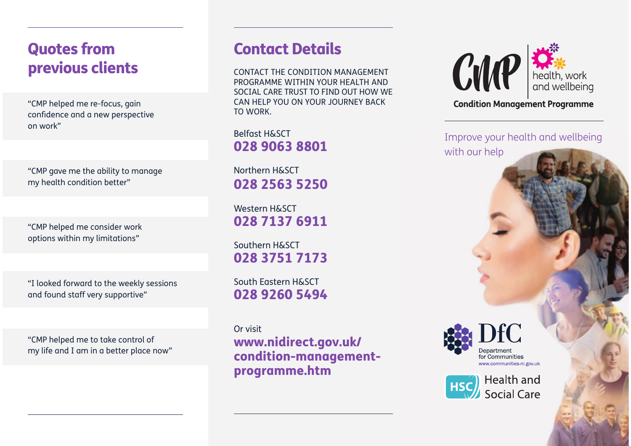# Quotes from **Contact Details** previous clients

"CMP helped me re-focus, gain confidence and a new perspective on work"

"CMP gave me the ability to manage my health condition better"

"CMP helped me consider work options within my limitations"

"I looked forward to the weekly sessions and found staff very supportive"

"CMP helped me to take control of my life and I am in a better place now"

CONTACT THE CONDITION MANAGEMENT PROGRAMME WITHIN YOUR HEALTH AND SOCIAL CARE TRUST TO FIND OUT HOW WE CAN HELP YOU ON YOUR JOURNEY BACK TO WORK.

Belfast H&SCT028 9063 8801

Northern H&SCT028 2563 5250

Western H&SCT028 7137 6911

Southern H&SCT028 3751 7173

South Eastern H&SCT028 9260 5494

Or visit www.nidirect.gov.uk/ condition-managementprogramme.htm



**Condition Management Programme** 

Improve your health and wellbeing with our help